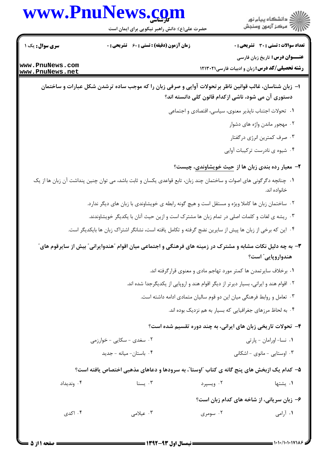## www.PnuNews.com

ے<br>دانشگاہ پیام نور رے<br>پ<sup>ی</sup> مرکز آزمون وسنجش

حضرت علی(ع): دانش راهبر نیکویی برای ایمان است

**تعداد سوالات : تستی : 30 ٪ تشریحی : 0** 

**عنـــوان درس:** تاریخ زبان فارسی

**رشته تحصیلی/کد درس:** زبان و ادبیات فارسی ۱۲۱۳۰۲۱

**زمان آزمون (دقیقه) : تستی : 60 گشریحی: 0** 

**سری سوال :** یک ۱

www.PnuNews.com www.PnuNews.net

- ا– زبان شناسان، غالب قوانین ناظر بر تحولات آوایی و صرفی زبان را که موجب ساده ترشدن شکل عبارات و ساختمان دستوری آن می شود، ناشی ازکدام قانون کلی دانسته اند؟
	- ٠١. تحولات اجتناب نايذير معنوى، سياسي، اقتصادي و اجتماعي
		- ۰۲ مهجور ماندن واژه های دشوار
		- ۰۳ صرف کمترین انرژی درگفتار
		- ۰۴ شیوه ی نادرست ترکیبات آوایی
		- ۲- معیار رده بندی زبان ها از حیث خویشاوندی، چیست؟
- ۰۱ چنانچه دگرگونی های اصوات و ساختمان چند زبان، تابع قواعدی یکسان و ثابت باشد، می توان چنین پنداشت آن زبان ها از یک خانواده اند.
	- ٢. ساختمان زبان ها كاملا ويژه و مستقل است و هيچ گونه رابطه ي خويشاوندي با زبان هاي ديگر ندارد.
	- ۰۳ ریشه ی لغات و کلمات اصلی در تمام زبان ها مشترک است و ازین حیث آنان با یکدیگر خویشاوندند.
	- ۰۴ این که برخی از زبان ها پیش از سایرین نضج گرفته و تکامل یافته است، نشانگر اشتراک زبان ها بایکدیگر است.

**۳**– به چه دلیل نکات مشابه و مشترک در زمینه های فرهنگی و اجتماعی میان اقوام ″هندوایرانی″ بیش از سایرقوم های″ هندواروپایی″ است؟

- ۰۱ برخلاف سایرتمدن ها کمتر مورد تهاجم مادی و معنوی قرار گرفته اند.
- ۲ . اقوام هند و ایرانی، بسیار دیرتر از دیگر اقوام هند و اروپایی از یکدیگرجدا شده اند.
	- ۰۳ تعامل و روابط فرهنگی میان این دو قوم سالیان متمادی ادامه داشته است.
		- ۰۴ به لحاظ مرزهای جغرافیایی که بسیار به هم نزدیک بوده اند.

## ۴- تحولات تاریخی زبان های ایرانی، به چند دوره تقسیم شده است؟

| ۰۲ سغدی - سکایی - خوارزمی | ۰۱ نسا- اورامان - پارتی     |
|---------------------------|-----------------------------|
| ۰۴ باستان- میانه - جدید   | ۰۳ اوستایی - مانوی - اشکانی |

## ۵– کدام یک ازبخش های پنج گانه ی کتاب آاوستا"، به سرودها و دعاهای مذهبی اختصاص یافته است؟

| ۰۴ وندیداد | ۰۳ سنا<br>and the state of the state of the | ۰۲ ویسپرد | ۰۱ يشتها |
|------------|---------------------------------------------|-----------|----------|
|            |                                             |           |          |

۶– زبان سریانی، از شاخه های کدام زبان است؟

۰۴ اکدی ۰۳ عبلامي ۰۲ سومری ۰۱ آ<sub>رامی</sub>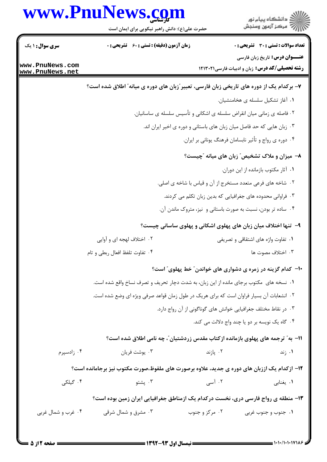|                                    | www.PnuNews.com                                                                                    | ڪ دانشڪاه پيا <sub>م</sub> نور<br>۾ سرڪز آزمون وسنڊش                                             |
|------------------------------------|----------------------------------------------------------------------------------------------------|--------------------------------------------------------------------------------------------------|
|                                    | حضرت علی(ع): دانش راهبر نیکویی برای ایمان است                                                      |                                                                                                  |
| <b>سری سوال : ۱ یک</b>             | <b>زمان آزمون (دقیقه) : تستی : 60 ٪ تشریحی : 0</b>                                                 | <b>تعداد سوالات : تستی : 30 ٪ تشریحی : 0</b>                                                     |
| www.PnuNews.com<br>www.PnuNews.net |                                                                                                    | <b>عنـــوان درس:</b> تاریخ زبان فارسی<br><b>رشته تحصیلی/کد درس:</b> زبان و ادبیات فارسی۲۱۳۰۲۱ ۱۲ |
|                                    | ۷- برکدام یک از دوره های تاریخی زبان فارسی، تعبیر ؒزبان های دوره ی میانه ؒ اطلاق شده است؟          |                                                                                                  |
|                                    |                                                                                                    | ٠١ آغاز تشكيل سلسله ى هخامنشيان.                                                                 |
|                                    |                                                                                                    | ۰۲ فاصله ی زمانی میان انقراض سلسله ی اشکانی و تأسیس سلسله ی ساسانیان.                            |
|                                    |                                                                                                    | ۰۳ زبان هایی که حد فاصل میان زبان های باستانی و دوره ی اخیر ایران اند.                           |
|                                    |                                                                                                    | ۰۴ دوره ی رواج و تأثیر نابسامان فرهنگ یونانی بر ایران.                                           |
|                                    |                                                                                                    | ۸- میزان و ملاک تشخیص ؒ زبان های میانه ؒچیست؟                                                    |
|                                    |                                                                                                    | ٠١. آثار مكتوب بازمانده از اين دوران.                                                            |
|                                    |                                                                                                    | ۰۲ شاخه های فرعی متعدد مستخرج از آن و قیاس با شاخه ی اصلی.                                       |
|                                    |                                                                                                    | ۰۳ فراوانی محدوده های جغرافیایی که بدین زبان تکلم می کردند.                                      |
|                                    |                                                                                                    | ۰۴ ساده تر بودن، نسبت به صورت باستانی و نیز، متروک ماندن آن.                                     |
|                                    |                                                                                                    | ۹- تنها اختلاف میان زبان های پهلوی اشکانی و پهلوی ساسانی چیست؟                                   |
|                                    | ۰۲ اختلاف لهجه ای و آوایی                                                                          | ۰۱ تفاوت واژه های اشتقاقی و تصریفی                                                               |
|                                    | ۰۴ تفاوت تلفظ افعال ربطي و تام                                                                     | ۰۳ اختلاف مصوت ها                                                                                |
|                                    |                                                                                                    | ∙۱- کدام گزینه در زمره ی دشواری های خواندن″ خط پهلوی″ است؟                                       |
|                                    | ۰۱ نسخه های ًمکتوب برجای مانده از این زبان، به شدت دچار تحریف و تصرف نساخ واقع شده است.            |                                                                                                  |
|                                    | ۰۲ انشعابات آن بسیار فراوان است که برای هریک در طول زمان قواعد صرفی ویژه ای وضع شده است.           |                                                                                                  |
|                                    |                                                                                                    | ۰۳ در نقاط مختلف جغرافیایی خوانش های گوناگونی از آن رواج دارد.                                   |
|                                    |                                                                                                    | ۰۴ گاه یک نویسه بر دو یا چند واج دلالت می کند.                                                   |
|                                    | 1۱– به" ترجمه های پهلوی بازمانده ازکتاب مقدس زردشتیان″، چه نامی اطلاق شده است؟                     |                                                                                                  |
| ۰۴ زادسپرم                         | ۰۳ يوشت فريان                                                                                      | ۰۲ پازند<br>۰۱ زند                                                                               |
|                                    | <b>۱۲</b> - ازکدام یک اززبان های دوره ی جدید، علاوه برصورت های ملفوظ،صورت مکتوب نیز برجامانده است؟ |                                                                                                  |
| ۰۴ گیلکی                           | ۰۳ پشتو                                                                                            | ۰۲ آسی<br>٠١. يغنابي                                                                             |
|                                    | ۱۳- منطقه ی رواج فارسی دری، نخست درکدام یک ازمناطق جغرافیایی ایران زمین بوده است؟                  |                                                                                                  |
| ۰۴ غرب و شمال غربی                 | ۰۲ مرکز و جنوب<br>۰۳ مشرق و شمال شرقی                                                              | ۰۱ جنوب و جنوب غربی                                                                              |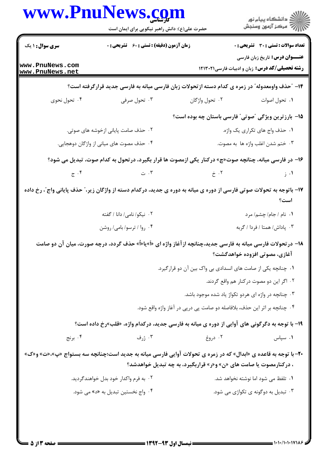|                                     | www.PnuNews.com<br>حضرت علی(ع): دانش راهبر نیکویی برای ایمان است                                                       |                                                                           | الار دانشگاه پيام نور<br>الارا مرکز آزمون وسنجش                                                 |
|-------------------------------------|------------------------------------------------------------------------------------------------------------------------|---------------------------------------------------------------------------|-------------------------------------------------------------------------------------------------|
| سری سوال : ۱ یک                     | زمان آزمون (دقیقه) : تستی : 60 ٪ تشریحی : 0                                                                            |                                                                           | <b>تعداد سوالات : تستی : 30 - تشریحی : 0</b>                                                    |
| www.PnuNews.com<br> www.PnuNews.net |                                                                                                                        |                                                                           | <b>عنـــوان درس:</b> تاریخ زبان فارسی<br><b>رشته تحصیلی/کد درس:</b> زبان و ادبیات فارسی ۱۲۱۳۰۲۱ |
|                                     | ۱۴– ″حذف واومعدوله″ در زمره ی کدام دسته ازتحولات زبان فارسی میانه به فارسی جدید قرارگرفته است؟                         |                                                                           |                                                                                                 |
| ۰۴ تحول نحوی                        | ۰۳ تحول صرفی                                                                                                           | ۰۲ تحول واژگان                                                            | ٠١. تحول اصوات                                                                                  |
|                                     |                                                                                                                        | 1۵– بارزترین ویژگی "صوتی" فارسی باستان چه بوده است؟                       |                                                                                                 |
|                                     | ۰۲ حذف صامت پایانی ازخوشه های صوتی.                                                                                    |                                                                           | ٠١. حذف واج هاي تكراري يك واژه.                                                                 |
|                                     | ۰۴ حذف مصوت های میانی از واژگان دوهجایی.                                                                               |                                                                           | ۰۳ ختم شدن اغلب واژه ها به مصوت.                                                                |
|                                     | ۱۶- در فارسی میانه، چنانچه صوت«چ» درکنار یکی ازمصوت ها قرار بگیرد، درتحول به کدام صوت، تبدیل می شود؟                   |                                                                           |                                                                                                 |
| $\mathcal{F} \cdot \mathcal{F}$     | $\ddot{\phantom{a}}$ . ۳                                                                                               | $\dot{\tau}$ . ۲                                                          | $\rightarrow$ .1                                                                                |
|                                     | ۱۷- باتوجه به تحولات صوتی فارسی از دوره ی میانه به دوره ی جدید، درکدام دسته از واژگان زیر،" حذف پایانی واج"، رخ داده   |                                                                           | است؟                                                                                            |
|                                     | ۰۲ نیکو/نامی/ دانا / گفته                                                                                              |                                                                           | ٠١ نام / جام/ چشم/ مرد                                                                          |
|                                     | ۰۴ روا / ترسو/ بامی/ روشن                                                                                              |                                                                           | ۰۳ پاداش/ همتا / فردا / گربه                                                                    |
|                                     | ۱۸- در تحولات فارسی میانه به فارسی جدید،چنانچه ازآغاز واژه ای «اً»یا«اً» حذف گردد، درچه صورت، میان آن دو صامت          |                                                                           | آغازی، مصوتی افزوده خواهدگشت؟                                                                   |
|                                     |                                                                                                                        | 1. چنانچه یکی از صامت های انسدادی بی واک بین آن دو قرارگیرد.              |                                                                                                 |
|                                     |                                                                                                                        |                                                                           | ۰۲ اگر این دو مصوت درکنار هم واقع گردند.                                                        |
|                                     |                                                                                                                        | ۰۳ چنانچه در واژه ای هردو تکواژ یاد شده موجود باشد.                       |                                                                                                 |
|                                     |                                                                                                                        | ۰۴ چنانچه بر اثر این حذف، بلافاصله دو صامت پی درپی در آغاز واژه واقع شود. |                                                                                                 |
|                                     | ۱۹- با توجه به دگرگونی های آوایی از دوره ی میانه به فارسی جدید، درکدام واژه، «قلب»رخ داده است؟                         |                                                                           |                                                                                                 |
| ۰۴ برنج                             | ۰۳ ژرف                                                                                                                 | ۰۲ دروغ                                                                   | ۰۱ سپاس                                                                                         |
|                                     | <b>۲۰</b> - با توجه به قاعده ی «ابدال» که در زمره ی تحولات آوایی فارسی میانه به جدید است؛چنانچه سه بستواج «پ»،«ت» و«ک» | ، درکنارمصوت یا صامت های «ن» و«ر» قراربگیرد، به چه تبدیل خواهدشد؟         |                                                                                                 |
|                                     | ۰۲ به فرم واکدار خود بدل خواهندگردید.                                                                                  |                                                                           | ۰۱ تلفظ می شود اما نوشته نخواهد شد.                                                             |
|                                     | ۰۴ واج نخستین تبدیل به «د» می شود.                                                                                     |                                                                           | ۰۳ تبدیل به دوگونه ی تکواژی می شود.                                                             |
|                                     |                                                                                                                        |                                                                           |                                                                                                 |
|                                     |                                                                                                                        |                                                                           |                                                                                                 |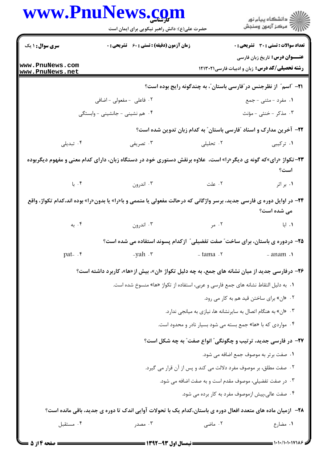| www.PnuNews.com                    | حضرت علی(ع): دانش راهبر نیکویی برای ایمان است                                                                                 |           | ڪ دانشڪاه پيام نور<br>پ <sup>ر</sup> مرڪز آزمون وسنڊش                                    |
|------------------------------------|-------------------------------------------------------------------------------------------------------------------------------|-----------|------------------------------------------------------------------------------------------|
| سری سوال : ۱ یک                    | زمان آزمون (دقیقه) : تستی : 60 ٪ تشریحی : 0                                                                                   |           | <b>تعداد سوالات : تستی : 30 ٪ تشریحی : 0</b>                                             |
| www.PnuNews.com<br>www.PnuNews.net |                                                                                                                               |           | <b>عنـــوان درس:</b> تاریخ زبان فارسی<br>رشته تحصیلی/کد درس: زبان و ادبیات فارسی ١٢١٣٠٢١ |
|                                    |                                                                                                                               |           | <b>۲۱</b> - آاسم ؓ از نظرجنس در ؓفارسی باستان ؓ، به چندگونه رایج بوده است؟               |
|                                    | ۰۲ فاعلی - مفعولی - اضافی                                                                                                     |           | ۰۱ مفرد - مثنی - جمع                                                                     |
|                                    | ۰۴ هم نشینی - جانشینی - وابستگی                                                                                               |           | ۰۳ مذکر -خنثی - مؤنث                                                                     |
|                                    |                                                                                                                               |           | ۲۲- آخرین مدارک و اسناد "فارسی باستان" به کدام زبان تدوین شده است؟                       |
| ۰۴ تبدیلی                          | ۰۳ تصریفی                                                                                                                     | ۲. تحلیلی | ۱. ترکیبی                                                                                |
|                                    | <b>۲۳</b> -تکواژ «رای»که گونه ی دیگر«را» است،  علاوه برنقش دستوری خود در دستگاه زبان، دارای کدام معنی و مفهوم دیگربوده        |           | است؟                                                                                     |
|                                    | ۲. علت الله به سال ۲۰۰۳ اندرون است کا بار است کا بار می توان که منابع کرد کرد که در کار کرد کرد کرد کرد کرد کر                |           | ۰۱ بر اثر                                                                                |
|                                    | <b>۲۴</b> - در اوایل دوره ی فارسی جدید، برسر واژگانی که درحالت مفعولی یا متممی و با«را» یا بدون«را» بوده اند،کدام تکواژ، واقع |           | می شده است؟                                                                              |
|                                    |                                                                                                                               |           |                                                                                          |
|                                    | ۲۵- دردوره ی باستان، برای ساخت" صفت تفضیلی" ازکدام پسوند استفاده می شده است؟                                                  |           |                                                                                          |
| $pat - f$                          | $-yah \cdot r$                                                                                                                | - tama .r | - anam .                                                                                 |
|                                    | ۲۶- درفارسی جدید از میان نشانه های جمع، به چه دلیل تکواژ «ان»، بیش از «ها»، کاربرد داشته است؟                                 |           |                                                                                          |
|                                    | ۰۱ به دلیل التقاط نشانه های جمع فارسی و عربی، استفاده از تکواژ «ها» منسوخ شده است.                                            |           |                                                                                          |
|                                    |                                                                                                                               |           | ۰۲ «ان» برای ساختن قید هم به کار می رود.                                                 |
|                                    |                                                                                                                               |           | ۰۳ «ان» به هنگام اتصال به سایرنشانه ها، نیازی به میانجی ندارد.                           |
|                                    |                                                                                                                               |           | ۰۴ مواردی که با «ها» جمع بسته می شود بسیار نادر و محدود است.                             |
|                                    |                                                                                                                               |           | <b>۲۷</b> - در فارسی جدید، ترتیب و چگونگی″ انواع صفت″ به چه شکل است؟                     |
|                                    |                                                                                                                               |           | ٠١. صفت برتر به موصوف جمع اضافه مي شود.                                                  |
|                                    |                                                                                                                               |           | ۰۲ صفت مطلق، بر موصوف مفرد دلالت می کند و پس از آن قرار می گیرد.                         |
|                                    |                                                                                                                               |           | ۰۳ در صفت تفضیلی، موصوف مقدم است و به صفت اضافه می شود.                                  |
|                                    |                                                                                                                               |           | ۰۴ صفت عالی،پیش ازموصوف مفرد به کار برده می شود.                                         |
|                                    | ۲۸- ازمیان ماده های متعدد افعال دوره ی باستان،کدام یک با تحولات آوایی اندک تا دوره ی جدید، باقی مانده است؟                    |           |                                                                                          |
| ۰۴ مستقبل                          | ۰۳ مصدر                                                                                                                       | ۰۲ ماضی   | ۰۱ مضارع                                                                                 |